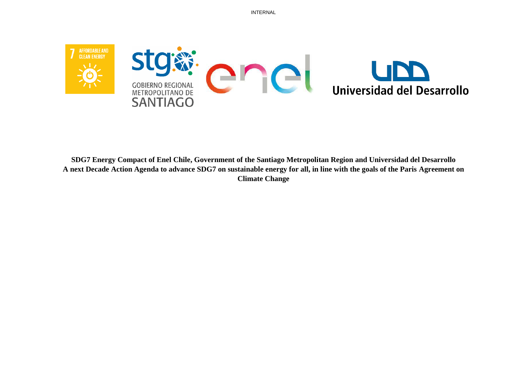

**SDG7 Energy Compact of Enel Chile, Government of the Santiago Metropolitan Region and Universidad del Desarrollo A next Decade Action Agenda to advance SDG7 on sustainable energy for all, in line with the goals of the Paris Agreement on Climate Change**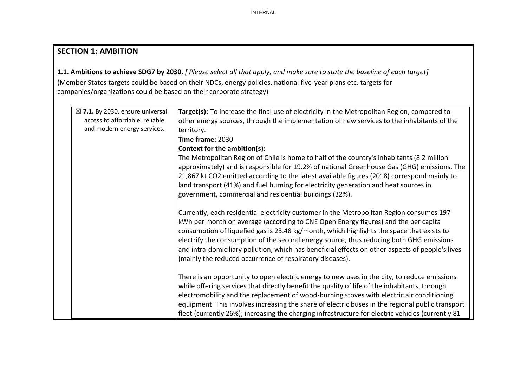# **SECTION 1: AMBITION**

**1.1. Ambitions to achieve SDG7 by 2030.** *[ Please select all that apply, and make sure to state the baseline of each target]*  (Member States targets could be based on their NDCs, energy policies, national five-year plans etc. targets for companies/organizations could be based on their corporate strategy)

| $\boxtimes$ 7.1. By 2030, ensure universal | Target(s): To increase the final use of electricity in the Metropolitan Region, compared to       |
|--------------------------------------------|---------------------------------------------------------------------------------------------------|
| access to affordable, reliable             | other energy sources, through the implementation of new services to the inhabitants of the        |
| and modern energy services.                | territory.                                                                                        |
|                                            | Time frame: 2030                                                                                  |
|                                            | Context for the ambition(s):                                                                      |
|                                            | The Metropolitan Region of Chile is home to half of the country's inhabitants (8.2 million        |
|                                            | approximately) and is responsible for 19.2% of national Greenhouse Gas (GHG) emissions. The       |
|                                            | 21,867 kt CO2 emitted according to the latest available figures (2018) correspond mainly to       |
|                                            | land transport (41%) and fuel burning for electricity generation and heat sources in              |
|                                            | government, commercial and residential buildings (32%).                                           |
|                                            |                                                                                                   |
|                                            | Currently, each residential electricity customer in the Metropolitan Region consumes 197          |
|                                            | kWh per month on average (according to CNE Open Energy figures) and the per capita                |
|                                            | consumption of liquefied gas is 23.48 kg/month, which highlights the space that exists to         |
|                                            | electrify the consumption of the second energy source, thus reducing both GHG emissions           |
|                                            | and intra-domiciliary pollution, which has beneficial effects on other aspects of people's lives  |
|                                            | (mainly the reduced occurrence of respiratory diseases).                                          |
|                                            |                                                                                                   |
|                                            | There is an opportunity to open electric energy to new uses in the city, to reduce emissions      |
|                                            | while offering services that directly benefit the quality of life of the inhabitants, through     |
|                                            | electromobility and the replacement of wood-burning stoves with electric air conditioning         |
|                                            | equipment. This involves increasing the share of electric buses in the regional public transport  |
|                                            | fleet (currently 26%); increasing the charging infrastructure for electric vehicles (currently 81 |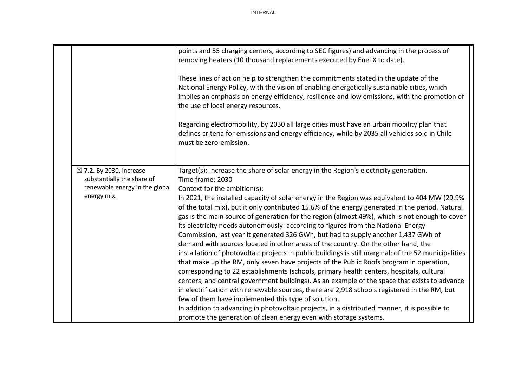|                                                                                                                   | points and 55 charging centers, according to SEC figures) and advancing in the process of<br>removing heaters (10 thousand replacements executed by Enel X to date).<br>These lines of action help to strengthen the commitments stated in the update of the<br>National Energy Policy, with the vision of enabling energetically sustainable cities, which<br>implies an emphasis on energy efficiency, resilience and low emissions, with the promotion of<br>the use of local energy resources.<br>Regarding electromobility, by 2030 all large cities must have an urban mobility plan that<br>defines criteria for emissions and energy efficiency, while by 2035 all vehicles sold in Chile<br>must be zero-emission.                                                                                                                                                                                                                                                                                                                                                                                                                                                                                                                                                                                                                                                                                                                   |
|-------------------------------------------------------------------------------------------------------------------|-----------------------------------------------------------------------------------------------------------------------------------------------------------------------------------------------------------------------------------------------------------------------------------------------------------------------------------------------------------------------------------------------------------------------------------------------------------------------------------------------------------------------------------------------------------------------------------------------------------------------------------------------------------------------------------------------------------------------------------------------------------------------------------------------------------------------------------------------------------------------------------------------------------------------------------------------------------------------------------------------------------------------------------------------------------------------------------------------------------------------------------------------------------------------------------------------------------------------------------------------------------------------------------------------------------------------------------------------------------------------------------------------------------------------------------------------|
| $\boxtimes$ 7.2. By 2030, increase<br>substantially the share of<br>renewable energy in the global<br>energy mix. | Target(s): Increase the share of solar energy in the Region's electricity generation.<br>Time frame: 2030<br>Context for the ambition(s):<br>In 2021, the installed capacity of solar energy in the Region was equivalent to 404 MW (29.9%<br>of the total mix), but it only contributed 15.6% of the energy generated in the period. Natural<br>gas is the main source of generation for the region (almost 49%), which is not enough to cover<br>its electricity needs autonomously: according to figures from the National Energy<br>Commission, last year it generated 326 GWh, but had to supply another 1,437 GWh of<br>demand with sources located in other areas of the country. On the other hand, the<br>installation of photovoltaic projects in public buildings is still marginal: of the 52 municipalities<br>that make up the RM, only seven have projects of the Public Roofs program in operation,<br>corresponding to 22 establishments (schools, primary health centers, hospitals, cultural<br>centers, and central government buildings). As an example of the space that exists to advance<br>in electrification with renewable sources, there are 2,918 schools registered in the RM, but<br>few of them have implemented this type of solution.<br>In addition to advancing in photovoltaic projects, in a distributed manner, it is possible to<br>promote the generation of clean energy even with storage systems. |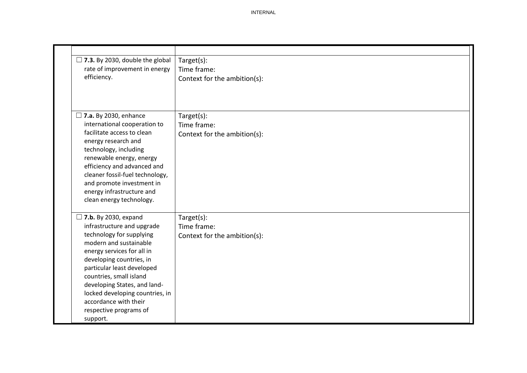| $\Box$ 7.3. By 2030, double the global                                                                                                                    | Target(s):                   |
|-----------------------------------------------------------------------------------------------------------------------------------------------------------|------------------------------|
| rate of improvement in energy<br>efficiency.                                                                                                              | Time frame:                  |
|                                                                                                                                                           | Context for the ambition(s): |
|                                                                                                                                                           |                              |
|                                                                                                                                                           |                              |
| $\Box$ 7.a. By 2030, enhance                                                                                                                              | Target(s):                   |
| international cooperation to                                                                                                                              | Time frame:                  |
| facilitate access to clean                                                                                                                                | Context for the ambition(s): |
| energy research and                                                                                                                                       |                              |
| technology, including                                                                                                                                     |                              |
| renewable energy, energy                                                                                                                                  |                              |
| efficiency and advanced and                                                                                                                               |                              |
| cleaner fossil-fuel technology,                                                                                                                           |                              |
| and promote investment in                                                                                                                                 |                              |
| energy infrastructure and<br>clean energy technology.                                                                                                     |                              |
|                                                                                                                                                           |                              |
| $\Box$ 7.b. By 2030, expand                                                                                                                               | Target(s):                   |
| infrastructure and upgrade                                                                                                                                | Time frame:                  |
| technology for supplying                                                                                                                                  | Context for the ambition(s): |
| modern and sustainable                                                                                                                                    |                              |
| energy services for all in                                                                                                                                |                              |
| developing countries, in                                                                                                                                  |                              |
| particular least developed                                                                                                                                |                              |
|                                                                                                                                                           |                              |
|                                                                                                                                                           |                              |
|                                                                                                                                                           |                              |
|                                                                                                                                                           |                              |
|                                                                                                                                                           |                              |
| countries, small island<br>developing States, and land-<br>locked developing countries, in<br>accordance with their<br>respective programs of<br>support. |                              |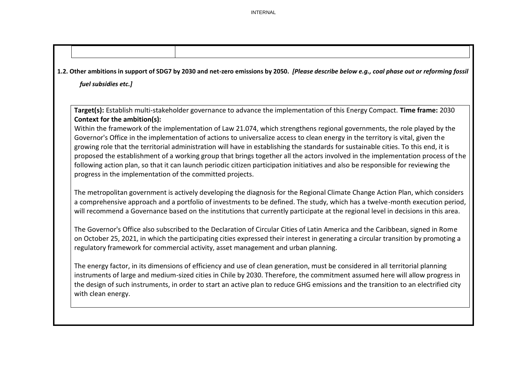| 1.2. Other ambitions in support of SDG7 by 2030 and net-zero emissions by 2050. [Please describe below e.g., coal phase out or reforming fossil                                                                                                                                                                                                                                                                                                                                                                                                                                                                                                                                                                                        |
|----------------------------------------------------------------------------------------------------------------------------------------------------------------------------------------------------------------------------------------------------------------------------------------------------------------------------------------------------------------------------------------------------------------------------------------------------------------------------------------------------------------------------------------------------------------------------------------------------------------------------------------------------------------------------------------------------------------------------------------|
| fuel subsidies etc.]                                                                                                                                                                                                                                                                                                                                                                                                                                                                                                                                                                                                                                                                                                                   |
| Target(s): Establish multi-stakeholder governance to advance the implementation of this Energy Compact. Time frame: 2030                                                                                                                                                                                                                                                                                                                                                                                                                                                                                                                                                                                                               |
| Context for the ambition(s):                                                                                                                                                                                                                                                                                                                                                                                                                                                                                                                                                                                                                                                                                                           |
| Within the framework of the implementation of Law 21.074, which strengthens regional governments, the role played by the<br>Governor's Office in the implementation of actions to universalize access to clean energy in the territory is vital, given the<br>growing role that the territorial administration will have in establishing the standards for sustainable cities. To this end, it is<br>proposed the establishment of a working group that brings together all the actors involved in the implementation process of the<br>following action plan, so that it can launch periodic citizen participation initiatives and also be responsible for reviewing the<br>progress in the implementation of the committed projects. |
| The metropolitan government is actively developing the diagnosis for the Regional Climate Change Action Plan, which considers<br>a comprehensive approach and a portfolio of investments to be defined. The study, which has a twelve-month execution period,<br>will recommend a Governance based on the institutions that currently participate at the regional level in decisions in this area.                                                                                                                                                                                                                                                                                                                                     |
| The Governor's Office also subscribed to the Declaration of Circular Cities of Latin America and the Caribbean, signed in Rome<br>on October 25, 2021, in which the participating cities expressed their interest in generating a circular transition by promoting a<br>regulatory framework for commercial activity, asset management and urban planning.                                                                                                                                                                                                                                                                                                                                                                             |
| The energy factor, in its dimensions of efficiency and use of clean generation, must be considered in all territorial planning<br>instruments of large and medium-sized cities in Chile by 2030. Therefore, the commitment assumed here will allow progress in<br>the design of such instruments, in order to start an active plan to reduce GHG emissions and the transition to an electrified city<br>with clean energy.                                                                                                                                                                                                                                                                                                             |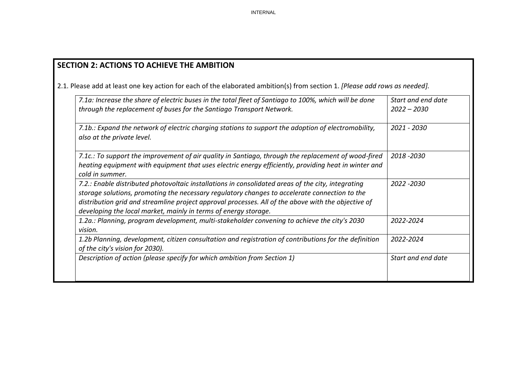# **SECTION 2: ACTIONS TO ACHIEVE THE AMBITION**

2.1. Please add at least one key action for each of the elaborated ambition(s) from section 1. *[Please add rows as needed].*

| 7.1a: Increase the share of electric buses in the total fleet of Santiago to 100%, which will be done<br>through the replacement of buses for the Santiago Transport Network.                                                                                                                                                                                                 | Start and end date<br>$2022 - 2030$ |
|-------------------------------------------------------------------------------------------------------------------------------------------------------------------------------------------------------------------------------------------------------------------------------------------------------------------------------------------------------------------------------|-------------------------------------|
| 7.1b.: Expand the network of electric charging stations to support the adoption of electromobility,<br>also at the private level.                                                                                                                                                                                                                                             | 2021 - 2030                         |
| 7.1c.: To support the improvement of air quality in Santiago, through the replacement of wood-fired<br>heating equipment with equipment that uses electric energy efficiently, providing heat in winter and<br>cold in summer.                                                                                                                                                | 2018 - 2030                         |
| 7.2.: Enable distributed photovoltaic installations in consolidated areas of the city, integrating<br>storage solutions, promoting the necessary regulatory changes to accelerate connection to the<br>distribution grid and streamline project approval processes. All of the above with the objective of<br>developing the local market, mainly in terms of energy storage. | 2022 - 2030                         |
| 1.2a.: Planning, program development, multi-stakeholder convening to achieve the city's 2030<br>vision.                                                                                                                                                                                                                                                                       | 2022-2024                           |
| 1.2b Planning, development, citizen consultation and registration of contributions for the definition<br>of the city's vision for 2030).                                                                                                                                                                                                                                      | 2022-2024                           |
| Description of action (please specify for which ambition from Section 1)                                                                                                                                                                                                                                                                                                      | Start and end date                  |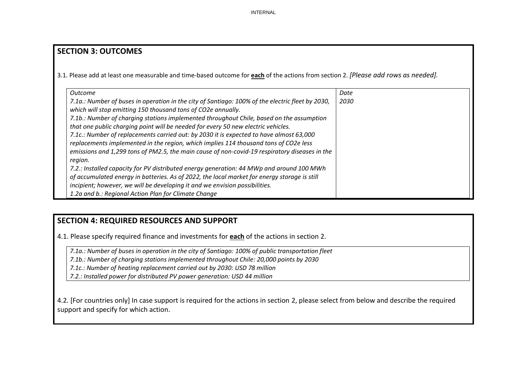### **SECTION 3: OUTCOMES**

3.1*.* Please add at least one measurable and time-based outcome for **each** of the actions from section 2. *[Please add rows as needed].*

| Outcome                                                                                          | Date |
|--------------------------------------------------------------------------------------------------|------|
| 7.1a.: Number of buses in operation in the city of Santiago: 100% of the electric fleet by 2030, | 2030 |
| which will stop emitting 150 thousand tons of CO2e annually.                                     |      |
| 7.1b.: Number of charging stations implemented throughout Chile, based on the assumption         |      |
| that one public charging point will be needed for every 50 new electric vehicles.                |      |
| 7.1c.: Number of replacements carried out: by 2030 it is expected to have almost 63,000          |      |
| replacements implemented in the region, which implies 114 thousand tons of CO2e less             |      |
| emissions and 1,299 tons of PM2.5, the main cause of non-covid-19 respiratory diseases in the    |      |
| region.                                                                                          |      |
| 7.2.: Installed capacity for PV distributed energy generation: 44 MWp and around 100 MWh         |      |
| of accumulated energy in batteries. As of 2022, the local market for energy storage is still     |      |
| incipient; however, we will be developing it and we envision possibilities.                      |      |
| 1.2a and b.: Regional Action Plan for Climate Change                                             |      |

### **SECTION 4: REQUIRED RESOURCES AND SUPPORT**

4.1. Please specify required finance and investments for **each** of the actions in section 2.

*7.1a.: Number of buses in operation in the city of Santiago: 100% of public transportation fleet*

*7.1b.: Number of charging stations implemented throughout Chile: 20,000 points by 2030*

*7.1c.: Number of heating replacement carried out by 2030: USD 78 million*

*7.2.: Installed power for distributed PV power generation: USD 44 million*

4.2. [For countries only] In case support is required for the actions in section 2, please select from below and describe the required support and specify for which action.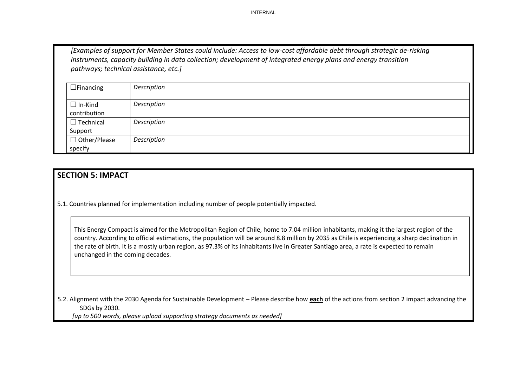*[Examples of support for Member States could include: Access to low-cost affordable debt through strategic de-risking instruments, capacity building in data collection; development of integrated energy plans and energy transition pathways; technical assistance, etc.]*

| $\Box$ Financing               | Description |
|--------------------------------|-------------|
| $\Box$ In-Kind<br>contribution | Description |
| $\Box$ Technical               | Description |
| Support                        |             |
| $\Box$ Other/Please            | Description |
| specify                        |             |

### **SECTION 5: IMPACT**

5.1. Countries planned for implementation including number of people potentially impacted.

This Energy Compact is aimed for the Metropolitan Region of Chile, home to 7.04 million inhabitants, making it the largest region of the country. According to official estimations, the population will be around 8.8 million by 2035 as Chile is experiencing a sharp declination in the rate of birth. It is a mostly urban region, as 97.3% of its inhabitants live in Greater Santiago area, a rate is expected to remain unchanged in the coming decades.

5.2. Alignment with the 2030 Agenda for Sustainable Development – Please describe how **each** of the actions from section 2 impact advancing the SDGs by 2030.

*[up to 500 words, please upload supporting strategy documents as needed]*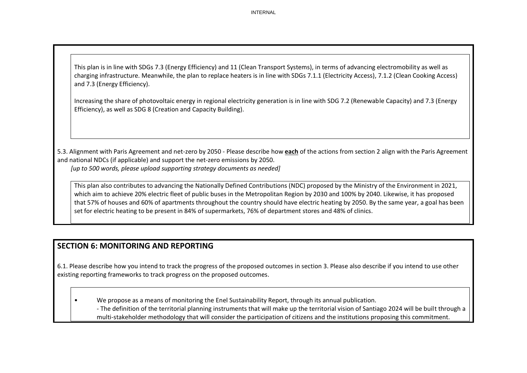This plan is in line with SDGs 7.3 (Energy Efficiency) and 11 (Clean Transport Systems), in terms of advancing electromobility as well as charging infrastructure. Meanwhile, the plan to replace heaters is in line with SDGs 7.1.1 (Electricity Access), 7.1.2 (Clean Cooking Access) and 7.3 (Energy Efficiency).

Increasing the share of photovoltaic energy in regional electricity generation is in line with SDG 7.2 (Renewable Capacity) and 7.3 (Energy Efficiency), as well as SDG 8 (Creation and Capacity Building).

5.3. Alignment with Paris Agreement and net-zero by 2050 - Please describe how **each** of the actions from section 2 align with the Paris Agreement and national NDCs (if applicable) and support the net-zero emissions by 2050. *[up to 500 words, please upload supporting strategy documents as needed]* 

This plan also contributes to advancing the Nationally Defined Contributions (NDC) proposed by the Ministry of the Environment in 2021, which aim to achieve 20% electric fleet of public buses in the Metropolitan Region by 2030 and 100% by 2040. Likewise, it has proposed that 57% of houses and 60% of apartments throughout the country should have electric heating by 2050. By the same year, a goal has been set for electric heating to be present in 84% of supermarkets, 76% of department stores and 48% of clinics.

# **SECTION 6: MONITORING AND REPORTING**

6.1. Please describe how you intend to track the progress of the proposed outcomes in section 3. Please also describe if you intend to use other existing reporting frameworks to track progress on the proposed outcomes.

• We propose as a means of monitoring the Enel Sustainability Report, through its annual publication.

- The definition of the territorial planning instruments that will make up the territorial vision of Santiago 2024 will be built through a multi-stakeholder methodology that will consider the participation of citizens and the institutions proposing this commitment.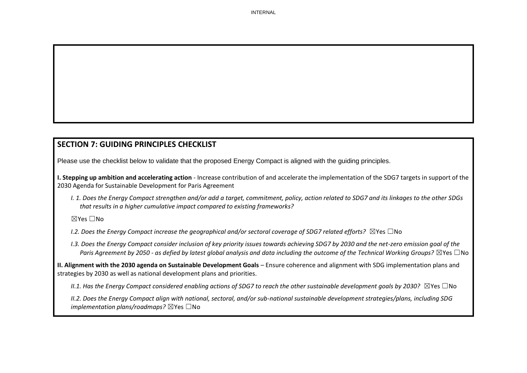# **SECTION 7: GUIDING PRINCIPLES CHECKLIST**

Please use the checklist below to validate that the proposed Energy Compact is aligned with the guiding principles.

**I. Stepping up ambition and accelerating action** - Increase contribution of and accelerate the implementation of the SDG7 targets in support of the 2030 Agenda for Sustainable Development for Paris Agreement

*I. 1. Does the Energy Compact strengthen and/or add a target, commitment, policy, action related to SDG7 and its linkages to the other SDGs that results in a higher cumulative impact compared to existing frameworks?* 

#### ☒Yes ☐No

- *I.2. Does the Energy Compact increase the geographical and/or sectoral coverage of SDG7 related efforts?* ⊠Yes □No
- *I.3. Does the Energy Compact consider inclusion of key priority issues towards achieving SDG7 by 2030 and the net-zero emission goal of the Paris Agreement by 2050 - as defied by latest global analysis and data including the outcome of the Technical Working Groups?* ☒Yes ☐No

**II. Alignment with the 2030 agenda on Sustainable Development Goals** – Ensure coherence and alignment with SDG implementation plans and strategies by 2030 as well as national development plans and priorities.

*II.1. Has the Energy Compact considered enabling actions of SDG7 to reach the other sustainable development goals by 2030?* ⊠Yes □No

*II.2. Does the Energy Compact align with national, sectoral, and/or sub-national sustainable development strategies/plans, including SDG implementation plans/roadmaps?* ⊠Yes □No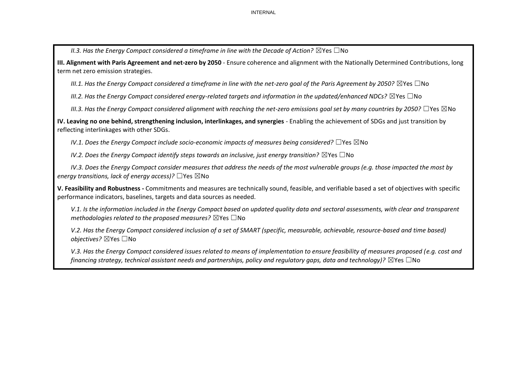*II.3. Has the Energy Compact considered a timeframe in line with the Decade of Action?* ⊠Yes □No

**III. Alignment with Paris Agreement and net-zero by 2050** - Ensure coherence and alignment with the Nationally Determined Contributions, long term net zero emission strategies.

*III.1. Has the Energy Compact considered a timeframe in line with the net-zero goal of the Paris Agreement by 2050?* ⊠Yes □No

*III.2. Has the Energy Compact considered energy-related targets and information in the updated/enhanced NDCs?* ⊠Yes □No

*III.3. Has the Energy Compact considered alignment with reaching the net-zero emissions goal set by many countries by 2050?* ☐Yes ☒No

**IV. Leaving no one behind, strengthening inclusion, interlinkages, and synergies** - Enabling the achievement of SDGs and just transition by reflecting interlinkages with other SDGs.

*IV.1. Does the Energy Compact include socio-economic impacts of measures being considered?* □Yes ⊠No

*IV.2. Does the Energy Compact identify steps towards an inclusive, just energy transition?* ⊠Yes □No

*IV.3. Does the Energy Compact consider measures that address the needs of the most vulnerable groups (e.g. those impacted the most by energy transitions, lack of energy access)?* ☐Yes ☒No

**V. Feasibility and Robustness -** Commitments and measures are technically sound, feasible, and verifiable based a set of objectives with specific performance indicators, baselines, targets and data sources as needed.

*V.1. Is the information included in the Energy Compact based on updated quality data and sectoral assessments, with clear and transparent methodologies related to the proposed measures?* ⊠Yes □No

*V.2. Has the Energy Compact considered inclusion of a set of SMART (specific, measurable, achievable, resource-based and time based) objectives?* ☒Yes ☐No

*V.3. Has the Energy Compact considered issues related to means of implementation to ensure feasibility of measures proposed (e.g. cost and financing strategy, technical assistant needs and partnerships, policy and regulatory gaps, data and technology)?* ⊠Yes □No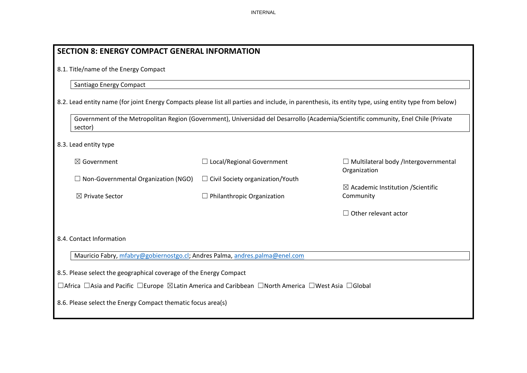| <b>SECTION 8: ENERGY COMPACT GENERAL INFORMATION</b>                                                                                                 |                                         |                                                                                                                                    |  |  |
|------------------------------------------------------------------------------------------------------------------------------------------------------|-----------------------------------------|------------------------------------------------------------------------------------------------------------------------------------|--|--|
| 8.1. Title/name of the Energy Compact                                                                                                                |                                         |                                                                                                                                    |  |  |
| Santiago Energy Compact                                                                                                                              |                                         |                                                                                                                                    |  |  |
| 8.2. Lead entity name (for joint Energy Compacts please list all parties and include, in parenthesis, its entity type, using entity type from below) |                                         |                                                                                                                                    |  |  |
| sector)                                                                                                                                              |                                         | Government of the Metropolitan Region (Government), Universidad del Desarrollo (Academia/Scientific community, Enel Chile (Private |  |  |
| 8.3. Lead entity type                                                                                                                                |                                         |                                                                                                                                    |  |  |
| $\boxtimes$ Government                                                                                                                               | $\Box$ Local/Regional Government        | $\Box$ Multilateral body /Intergovernmental<br>Organization                                                                        |  |  |
| $\Box$ Non-Governmental Organization (NGO)                                                                                                           | $\Box$ Civil Society organization/Youth | $\boxtimes$ Academic Institution / Scientific                                                                                      |  |  |
| ⊠ Private Sector                                                                                                                                     | $\Box$ Philanthropic Organization       | Community                                                                                                                          |  |  |
|                                                                                                                                                      |                                         | $\Box$ Other relevant actor                                                                                                        |  |  |
| 8.4. Contact Information                                                                                                                             |                                         |                                                                                                                                    |  |  |
| Mauricio Fabry, mfabry@gobiernostgo.cl; Andres Palma, andres.palma@enel.com                                                                          |                                         |                                                                                                                                    |  |  |
| 8.5. Please select the geographical coverage of the Energy Compact                                                                                   |                                         |                                                                                                                                    |  |  |
| □Africa □Asia and Pacific □Europe ⊠Latin America and Caribbean □North America □West Asia □Global                                                     |                                         |                                                                                                                                    |  |  |
| 8.6. Please select the Energy Compact thematic focus area(s)                                                                                         |                                         |                                                                                                                                    |  |  |